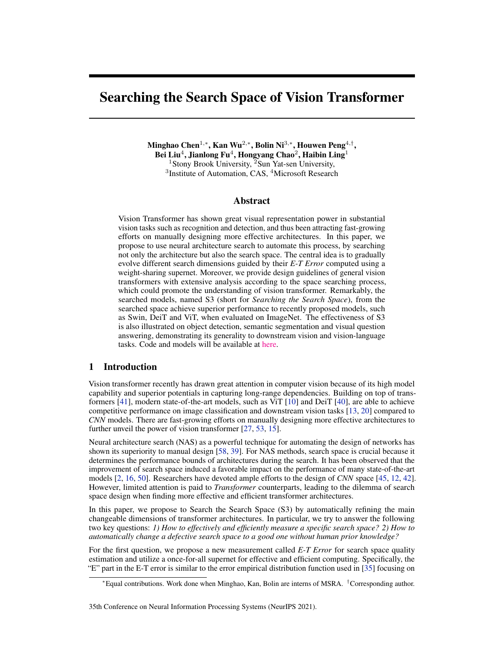# <span id="page-0-0"></span>Searching the Search Space of Vision Transformer

Minghao Chen $^{1,\ast}$ , Kan Wu $^{2,\ast}$ , Bolin Ni $^{3,\ast}$ , Houwen Peng $^{4,\dagger}$ , Bei Liu $^4$ , Jianlong Fu $^4$ , Hongyang Chao $^2$ , Haibin Ling $^1$ <sup>1</sup>Stony Brook University, <sup>2</sup>Sun Yat-sen University, <sup>3</sup>Institute of Automation, CAS, <sup>4</sup>Microsoft Research

## Abstract

Vision Transformer has shown great visual representation power in substantial vision tasks such as recognition and detection, and thus been attracting fast-growing efforts on manually designing more effective architectures. In this paper, we propose to use neural architecture search to automate this process, by searching not only the architecture but also the search space. The central idea is to gradually evolve different search dimensions guided by their *E-T Error* computed using a weight-sharing supernet. Moreover, we provide design guidelines of general vision transformers with extensive analysis according to the space searching process, which could promote the understanding of vision transformer. Remarkably, the searched models, named S3 (short for *Searching the Search Space*), from the searched space achieve superior performance to recently proposed models, such as Swin, DeiT and ViT, when evaluated on ImageNet. The effectiveness of S3 is also illustrated on object detection, semantic segmentation and visual question answering, demonstrating its generality to downstream vision and vision-language tasks. Code and models will be available at [here.](https://github.com/microsoft/Cream)

## 1 Introduction

Vision transformer recently has drawn great attention in computer vision because of its high model capability and superior potentials in capturing long-range dependencies. Building on top of transformers [\[41\]](#page-11-0), modern state-of-the-art models, such as ViT [\[10\]](#page-9-0) and DeiT [\[40\]](#page-11-1), are able to achieve competitive performance on image classification and downstream vision tasks [\[13,](#page-9-1) [20\]](#page-10-0) compared to *CNN* models. There are fast-growing efforts on manually designing more effective architectures to further unveil the power of vision transformer [\[27,](#page-10-1) [53,](#page-11-2) [15\]](#page-9-2).

Neural architecture search (NAS) as a powerful technique for automating the design of networks has shown its superiority to manual design [\[58,](#page-11-3) [39\]](#page-10-2). For NAS methods, search space is crucial because it determines the performance bounds of architectures during the search. It has been observed that the improvement of search space induced a favorable impact on the performance of many state-of-the-art models [\[2,](#page-9-3) [16,](#page-9-4) [50\]](#page-11-4). Researchers have devoted ample efforts to the design of *CNN* space [\[45,](#page-11-5) [12,](#page-9-5) [42\]](#page-11-6). However, limited attention is paid to *Transformer* counterparts, leading to the dilemma of search space design when finding more effective and efficient transformer architectures.

In this paper, we propose to Search the Search Space (S3) by automatically refining the main changeable dimensions of transformer architectures. In particular, we try to answer the following two key questions: *1) How to effectively and efficiently measure a specific search space? 2) How to automatically change a defective search space to a good one without human prior knowledge?*

For the first question, we propose a new measurement called *E-T Error* for search space quality estimation and utilize a once-for-all supernet for effective and efficient computing. Specifically, the "E" part in the E-T error is similar to the error empirical distribution function used in [\[35\]](#page-10-3) focusing on

<sup>∗</sup>Equal contributions. Work done when Minghao, Kan, Bolin are interns of MSRA. †Corresponding author.

<sup>35</sup>th Conference on Neural Information Processing Systems (NeurIPS 2021).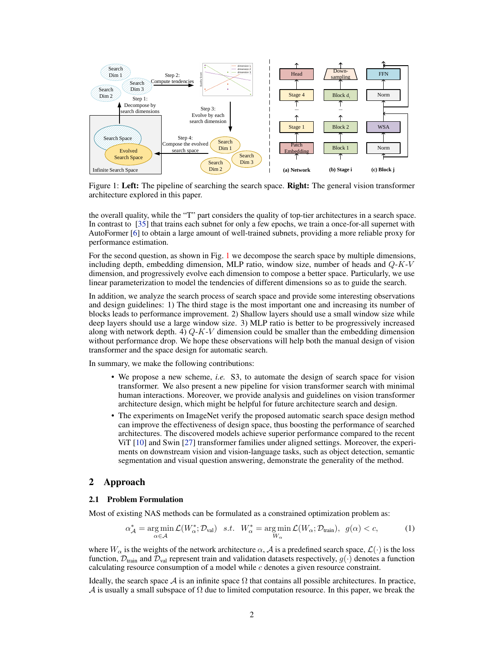<span id="page-1-3"></span><span id="page-1-0"></span>

Figure 1: Left: The pipeline of searching the search space. Right: The general vision transformer architecture explored in this paper.

the overall quality, while the "T" part considers the quality of top-tier architectures in a search space. In contrast to [\[35\]](#page-10-3) that trains each subnet for only a few epochs, we train a once-for-all supernet with AutoFormer [\[6\]](#page-9-6) to obtain a large amount of well-trained subnets, providing a more reliable proxy for performance estimation.

For the second question, as shown in Fig. [1](#page-1-0) we decompose the search space by multiple dimensions, including depth, embedding dimension, MLP ratio, window size, number of heads and  $Q$ -K-V dimension, and progressively evolve each dimension to compose a better space. Particularly, we use linear parameterization to model the tendencies of different dimensions so as to guide the search.

In addition, we analyze the search process of search space and provide some interesting observations and design guidelines: 1) The third stage is the most important one and increasing its number of blocks leads to performance improvement. 2) Shallow layers should use a small window size while deep layers should use a large window size. 3) MLP ratio is better to be progressively increased along with network depth. 4)  $Q$ -K-V dimension could be smaller than the embedding dimension without performance drop. We hope these observations will help both the manual design of vision transformer and the space design for automatic search.

In summary, we make the following contributions:

- We propose a new scheme, *i.e.* S3, to automate the design of search space for vision transformer. We also present a new pipeline for vision transformer search with minimal human interactions. Moreover, we provide analysis and guidelines on vision transformer architecture design, which might be helpful for future architecture search and design.
- The experiments on ImageNet verify the proposed automatic search space design method can improve the effectiveness of design space, thus boosting the performance of searched architectures. The discovered models achieve superior performance compared to the recent ViT [\[10\]](#page-9-0) and Swin [\[27\]](#page-10-1) transformer families under aligned settings. Moreover, the experiments on downstream vision and vision-language tasks, such as object detection, semantic segmentation and visual question answering, demonstrate the generality of the method.

## 2 Approach

#### <span id="page-1-2"></span>2.1 Problem Formulation

Most of existing NAS methods can be formulated as a constrained optimization problem as:

<span id="page-1-1"></span>
$$
\alpha_{\mathcal{A}}^* = \underset{\alpha \in \mathcal{A}}{\arg \min} \mathcal{L}(W_{\alpha}^*; \mathcal{D}_{\text{val}}) \quad s.t. \quad W_{\alpha}^* = \underset{W_{\alpha}}{\arg \min} \mathcal{L}(W_{\alpha}; \mathcal{D}_{\text{train}}), \quad g(\alpha) < c,\tag{1}
$$

where  $W_{\alpha}$  is the weights of the network architecture  $\alpha$ , A is a predefined search space,  $\mathcal{L}(\cdot)$  is the loss function,  $\mathcal{D}_{\text{train}}$  and  $\mathcal{D}_{\text{val}}$  represent train and validation datasets respectively,  $g(\cdot)$  denotes a function calculating resource consumption of a model while  $c$  denotes a given resource constraint.

Ideally, the search space A is an infinite space  $\Omega$  that contains all possible architectures. In practice, A is usually a small subspace of  $\Omega$  due to limited computation resource. In this paper, we break the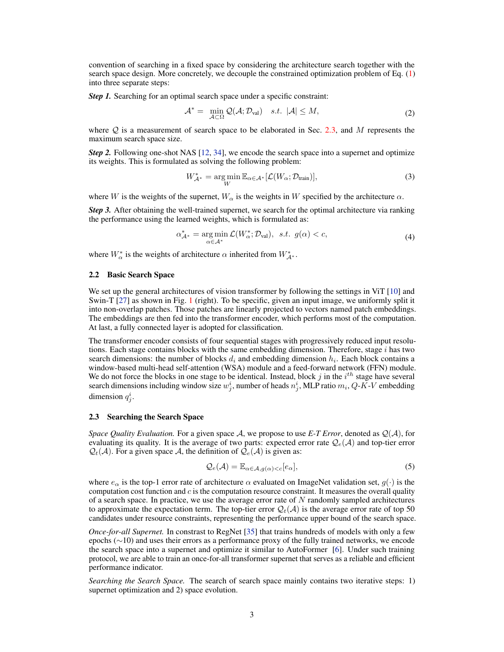<span id="page-2-3"></span>convention of searching in a fixed space by considering the architecture search together with the search space design. More concretely, we decouple the constrained optimization problem of Eq. [\(1\)](#page-1-1) into three separate steps:

*Step 1.* Searching for an optimal search space under a specific constraint:

$$
\mathcal{A}^* = \min_{\mathcal{A} \subset \Omega} \mathcal{Q}(\mathcal{A}; \mathcal{D}_{\text{val}}) \quad s.t. \ |\mathcal{A}| \le M,
$$
 (2)

where  $Q$  is a measurement of search space to be elaborated in Sec. [2.3,](#page-2-0) and M represents the maximum search space size.

*Step 2.* Following one-shot NAS [\[12,](#page-9-5) [34\]](#page-10-4), we encode the search space into a supernet and optimize its weights. This is formulated as solving the following problem:

$$
W_{\mathcal{A}^*}^* = \underset{W}{\text{arg min}} \mathbb{E}_{\alpha \in \mathcal{A}^*} [\mathcal{L}(W_{\alpha}; \mathcal{D}_{\text{train}})], \tag{3}
$$

where W is the weights of the supernet,  $W_{\alpha}$  is the weights in W specified by the architecture  $\alpha$ .

*Step 3.* After obtaining the well-trained supernet, we search for the optimal architecture via ranking the performance using the learned weights, which is formulated as:

$$
\alpha_{\mathcal{A}^*}^* = \underset{\alpha \in \mathcal{A}^*}{\arg \min} \mathcal{L}(W_{\alpha}^*; \mathcal{D}_{\text{val}}), \ \ s.t. \ \ g(\alpha) < c,\tag{4}
$$

where  $W^*_{\alpha}$  is the weights of architecture  $\alpha$  inherited from  $W^*_{\mathcal{A}^*}.$ 

#### <span id="page-2-2"></span>2.2 Basic Search Space

We set up the general architectures of vision transformer by following the settings in ViT [\[10\]](#page-9-0) and Swin-T [\[27\]](#page-10-1) as shown in Fig. [1](#page-1-0) (right). To be specific, given an input image, we uniformly split it into non-overlap patches. Those patches are linearly projected to vectors named patch embeddings. The embeddings are then fed into the transformer encoder, which performs most of the computation. At last, a fully connected layer is adopted for classification.

The transformer encoder consists of four sequential stages with progressively reduced input resolutions. Each stage contains blocks with the same embedding dimension. Therefore, stage  $i$  has two search dimensions: the number of blocks  $d_i$  and embedding dimension  $h_i$ . Each block contains a window-based multi-head self-attention (WSA) module and a feed-forward network (FFN) module. We do not force the blocks in one stage to be identical. Instead, block  $j$  in the  $i^{th}$  stage have several search dimensions including window size  $w_j^i$ , number of heads  $n_j^i$ , MLP ratio  $m_i$ , Q-K-V embedding dimension  $q_j^i$ .

#### <span id="page-2-0"></span>2.3 Searching the Search Space

*Space Quality Evaluation.* For a given space A, we propose to use *E-T Error*, denoted as  $Q(\mathcal{A})$ , for evaluating its quality. It is the average of two parts: expected error rate  $Q_e(A)$  and top-tier error  $\mathcal{Q}_t(\mathcal{A})$ . For a given space A, the definition of  $\mathcal{Q}_e(\mathcal{A})$  is given as:

<span id="page-2-1"></span>
$$
\mathcal{Q}_e(\mathcal{A}) = \mathbb{E}_{\alpha \in \mathcal{A}, g(\alpha) < c} [e_\alpha],\tag{5}
$$

where  $e_{\alpha}$  is the top-1 error rate of architecture  $\alpha$  evaluated on ImageNet validation set,  $g(\cdot)$  is the computation cost function and  $c$  is the computation resource constraint. It measures the overall quality of a search space. In practice, we use the average error rate of  $N$  randomly sampled architectures to approximate the expectation term. The top-tier error  $\mathcal{Q}_t(\mathcal{A})$  is the average error rate of top 50 candidates under resource constraints, representing the performance upper bound of the search space.

*Once-for-all Supernet.* In constrast to RegNet [\[35\]](#page-10-3) that trains hundreds of models with only a few epochs (∼10) and uses their errors as a performance proxy of the fully trained networks, we encode the search space into a supernet and optimize it similar to AutoFormer [\[6\]](#page-9-6). Under such training protocol, we are able to train an once-for-all transformer supernet that serves as a reliable and efficient performance indicator.

*Searching the Search Space.* The search of search space mainly contains two iterative steps: 1) supernet optimization and 2) space evolution.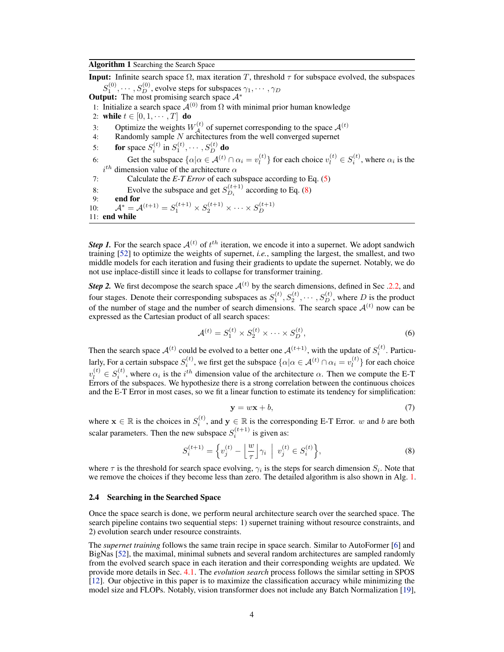<span id="page-3-2"></span><span id="page-3-1"></span>Algorithm 1 Searching the Search Space

**Input:** Infinite search space  $\Omega$ , max iteration T, threshold  $\tau$  for subspace evolved, the subspaces  $S^{(0)}_1,\cdots,S^{(0)}_D,$  evolve steps for subspaces  $\gamma_1,\cdots,\gamma_D$ Output: The most promising search space  $A^*$ 1: Initialize a search space  $A^{(0)}$  from  $\Omega$  with minimal prior human knowledge 2: while  $t \in [0, 1, \cdots, T]$  do 3: Optimize the weights  $W_A^{(t)}$  of supernet corresponding to the space  $A^{(t)}$ 4: Randomly sample  $N$  architectures from the well converged supernet 5: **for** space  $S_i^{(t)}$  in  $S_1^{(t)}, \cdots, S_D^{(t)}$  **do** 6: Get the subspace  $\{\alpha | \alpha \in \mathcal{A}^{(t)} \cap \alpha_i = v_l^{(t)}\}$  $\binom{t}{l}$  for each choice  $v_l^{(t)} \in S_i^{(t)}$ , where  $\alpha_i$  is the  $i^{th}$  dimension value of the architecture  $\alpha$ 7: Calculate the *E-T Error* of each subspace according to Eq. [\(5\)](#page-2-1) 8: Evolve the subspace and get  $S_{D_i}^{(t+1)}$  according to Eq. [\(8\)](#page-3-0) 9: end for  $(1, 1)$   $(1, 1)$ 10:  $\mathcal{A}^* = \mathcal{A}^{(t+1)} = S_1^{(t+1)} \times S_2^{(t+1)} \times \cdots \times S_D^{(t+1)}$ D 11: end while

**Step 1.** For the search space  $A^{(t)}$  of  $t^{th}$  iteration, we encode it into a supernet. We adopt sandwich training [\[52\]](#page-11-7) to optimize the weights of supernet, *i.e.*, sampling the largest, the smallest, and two middle models for each iteration and fusing their gradients to update the supernet. Notably, we do not use inplace-distill since it leads to collapse for transformer training.

**Step 2.** We first decompose the search space  $A^{(t)}$  by the search dimensions, defined in Sec [.2.2,](#page-2-2) and four stages. Denote their corresponding subspaces as  $S_1^{(t)}, S_2^{(t)}, \cdots, S_D^{(t)}$ , where D is the product of the number of stage and the number of search dimensions. The search space  $A^{(t)}$  now can be expressed as the Cartesian product of all search spaces:

$$
\mathcal{A}^{(t)} = S_1^{(t)} \times S_2^{(t)} \times \dots \times S_D^{(t)},\tag{6}
$$

Then the search space  $A^{(t)}$  could be evolved to a better one  $A^{(t+1)}$ , with the update of  $S_i^{(t)}$ . Particularly, For a certain subspace  $S_i^{(t)}$ , we first get the subspace  $\{\alpha|\alpha \in \mathcal{A}^{(t)} \cap \alpha_i = v_l^{(t)}\}$  $\binom{t}{l}$  for each choice  $v_l^{(t)} \in S_i^{(t)}$ , where  $\alpha_i$  is the  $i^{th}$  dimension value of the architecture  $\alpha$ . Then we compute the E-T Errors of the subspaces. We hypothesize there is a strong correlation between the continuous choices and the E-T Error in most cases, so we fit a linear function to estimate its tendency for simplification:

$$
y = wx + b,\tag{7}
$$

where  $\mathbf{x} \in \mathbb{R}$  is the choices in  $S_i^{(t)}$ , and  $\mathbf{y} \in \mathbb{R}$  is the corresponding E-T Error. w and b are both scalar parameters. Then the new subspace  $S_i^{(t+1)}$  is given as:

<span id="page-3-0"></span>
$$
S_i^{(t+1)} = \left\{ v_j^{(t)} - \left\lfloor \frac{w}{\tau} \right\rfloor \gamma_i \middle| v_j^{(t)} \in S_i^{(t)} \right\},\tag{8}
$$

where  $\tau$  is the threshold for search space evolving,  $\gamma_i$  is the steps for search dimension  $S_i$ . Note that we remove the choices if they become less than zero. The detailed algorithm is also shown in Alg. [1.](#page-3-1)

#### 2.4 Searching in the Searched Space

Once the space search is done, we perform neural architecture search over the searched space. The search pipeline contains two sequential steps: 1) supernet training without resource constraints, and 2) evolution search under resource constraints.

The *supernet training* follows the same train recipe in space search. Similar to AutoFormer [\[6\]](#page-9-6) and BigNas [\[52\]](#page-11-7), the maximal, minimal subnets and several random architectures are sampled randomly from the evolved search space in each iteration and their corresponding weights are updated. We provide more details in Sec. [4.1.](#page-5-0) The *evolution search* process follows the similar setting in SPOS [\[12\]](#page-9-5). Our objective in this paper is to maximize the classification accuracy while minimizing the model size and FLOPs. Notably, vision transformer does not include any Batch Normalization [\[19\]](#page-10-5),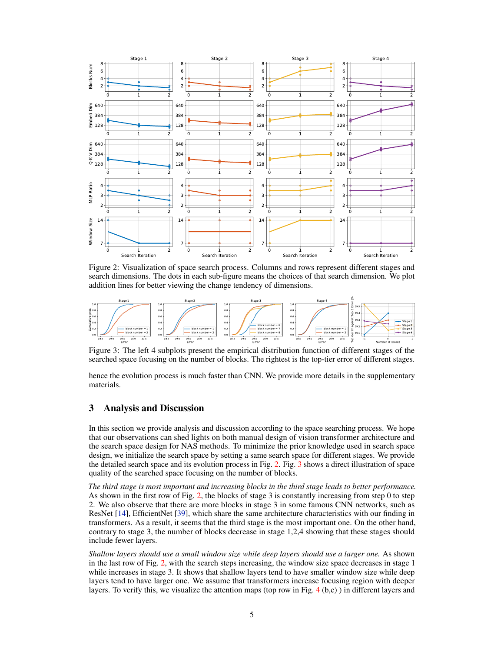<span id="page-4-2"></span><span id="page-4-0"></span>

Figure 2: Visualization of space search process. Columns and rows represent different stages and search dimensions. The dots in each sub-figure means the choices of that search dimension. We plot addition lines for better viewing the change tendency of dimensions.

<span id="page-4-1"></span>

Figure 3: The left 4 subplots present the empirical distribution function of different stages of the searched space focusing on the number of blocks. The rightest is the top-tier error of different stages.

hence the evolution process is much faster than CNN. We provide more details in the supplementary materials.

## 3 Analysis and Discussion

In this section we provide analysis and discussion according to the space searching process. We hope that our observations can shed lights on both manual design of vision transformer architecture and the search space design for NAS methods. To minimize the prior knowledge used in search space design, we initialize the search space by setting a same search space for different stages. We provide the detailed search space and its evolution process in Fig. [2.](#page-4-0) Fig. [3](#page-4-1) shows a direct illustration of space quality of the searched space focusing on the number of blocks.

*The third stage is most important and increasing blocks in the third stage leads to better performance.* As shown in the first row of Fig. [2,](#page-4-0) the blocks of stage 3 is constantly increasing from step 0 to step 2. We also observe that there are more blocks in stage 3 in some famous CNN networks, such as ResNet [\[14\]](#page-9-7), EfficientNet [\[39\]](#page-10-2), which share the same architecture characteristics with our finding in transformers. As a result, it seems that the third stage is the most important one. On the other hand, contrary to stage 3, the number of blocks decrease in stage 1,2,4 showing that these stages should include fewer layers.

*Shallow layers should use a small window size while deep layers should use a larger one.* As shown in the last row of Fig. [2,](#page-4-0) with the search steps increasing, the window size space decreases in stage 1 while increases in stage 3. It shows that shallow layers tend to have smaller window size while deep layers tend to have larger one. We assume that transformers increase focusing region with deeper layers. To verify this, we visualize the attention maps (top row in Fig. [4](#page-5-1) (b,c) ) in different layers and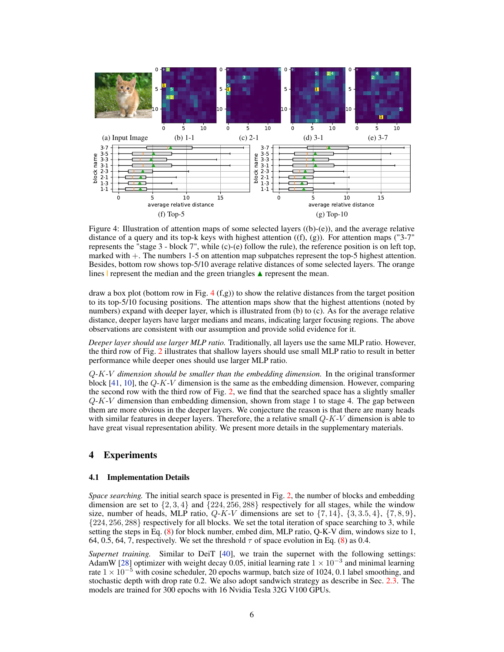<span id="page-5-2"></span><span id="page-5-1"></span>

Figure 4: Illustration of attention maps of some selected layers  $((b)-(e))$ , and the average relative distance of a query and its top-k keys with highest attention  $((f), (g))$ . For attention maps ("3-7") represents the "stage  $3$  - block  $7$ ", while (c)-(e) follow the rule), the reference position is on left top, marked with +. The numbers 1-5 on attention map subpatches represent the top-5 highest attention. Besides, bottom row shows top-5/10 average relative distances of some selected layers. The orange lines | represent the median and the green triangles  $\triangle$  represent the mean.

draw a box plot (bottom row in Fig.  $4(f,g)$  $4(f,g)$ ) to show the relative distances from the target position to its top-5/10 focusing positions. The attention maps show that the highest attentions (noted by numbers) expand with deeper layer, which is illustrated from (b) to (c). As for the average relative distance, deeper layers have larger medians and means, indicating larger focusing regions. The above observations are consistent with our assumption and provide solid evidence for it.

*Deeper layer should use larger MLP ratio.* Traditionally, all layers use the same MLP ratio. However, the third row of Fig. [2](#page-4-0) illustrates that shallow layers should use small MLP ratio to result in better performance while deeper ones should use larger MLP ratio.

Q*-*K*-*V *dimension should be smaller than the embedding dimension.* In the original transformer block  $[41, 10]$  $[41, 10]$  $[41, 10]$ , the  $Q-K-V$  dimension is the same as the embedding dimension. However, comparing the second row with the third row of Fig. [2,](#page-4-0) we find that the searched space has a slightly smaller  $Q-K-V$  dimension than embedding dimension, shown from stage 1 to stage 4. The gap between them are more obvious in the deeper layers. We conjecture the reason is that there are many heads with similar features in deeper layers. Therefore, the a relative small  $Q$ - $K$ - $V$  dimension is able to have great visual representation ability. We present more details in the supplementary materials.

## 4 Experiments

#### <span id="page-5-0"></span>4.1 Implementation Details

*Space searching.* The initial search space is presented in Fig. [2,](#page-4-0) the number of blocks and embedding dimension are set to  $\{2, 3, 4\}$  and  $\{224, 256, 288\}$  respectively for all stages, while the window size, number of heads, MLP ratio,  $Q-K-V$  dimensions are set to  $\{7, 14\}$ ,  $\{3, 3.5, 4\}$ ,  $\{7, 8, 9\}$ , {224, 256, 288} respectively for all blocks. We set the total iteration of space searching to 3, while setting the steps in Eq. [\(8\)](#page-3-0) for block number, embed dim, MLP ratio, Q-K-V dim, windows size to 1, 64, 0.5, 64, 7, respectively. We set the threshold  $\tau$  of space evolution in Eq. [\(8\)](#page-3-0) as 0.4.

*Supernet training.* Similar to DeiT [\[40\]](#page-11-1), we train the supernet with the following settings: AdamW [\[28\]](#page-10-6) optimizer with weight decay 0.05, initial learning rate  $1 \times 10^{-3}$  and minimal learning rate  $1 \times 10^{-5}$  with cosine scheduler, 20 epochs warmup, batch size of 1024, 0.1 label smoothing, and stochastic depth with drop rate 0.2. We also adopt sandwich strategy as describe in Sec. [2.3.](#page-2-0) The models are trained for 300 epochs with 16 Nvidia Tesla 32G V100 GPUs.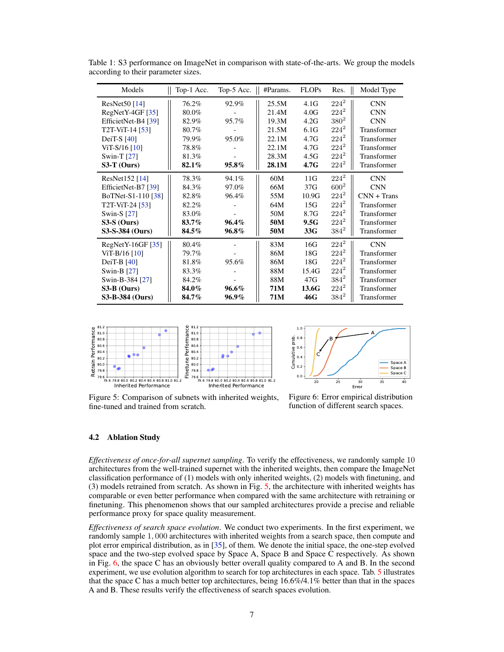| Models                 | Top-1 Acc. | Top-5 Acc. | #Params. | <b>FLOPs</b>     | Res.      | Model Type    |
|------------------------|------------|------------|----------|------------------|-----------|---------------|
| ResNet50 $[14]$        | 76.2%      | 92.9%      | 25.5M    | 4.1G             | $224^2$   | <b>CNN</b>    |
| $RegNetY-4GF [35]$     | 80.0%      |            | 21.4M    | 4.0G             | $224^2$   | <b>CNN</b>    |
| EfficietNet-B4 [39]    | 82.9%      | 95.7%      | 19.3M    | 4.2G             | $380^{2}$ | <b>CNN</b>    |
| T2T-ViT-14 [53]        | 80.7%      |            | 21.5M    | 6.1G             | $224^2$   | Transformer   |
| DeiT-S $[40]$          | 79.9%      | 95.0%      | 22.1M    | 4.7G             | $224^2$   | Transformer   |
| $ViT-S/16$ [10]        | 78.8%      |            | 22.1M    | 4.7G             | $224^2$   | Transformer   |
| Swin-T [27]            | 81.3%      |            | 28.3M    | 4.5G             | $224^2$   | Transformer   |
| $S3-T$ (Ours)          | 82.1%      | $95.8\%$   | 28.1M    | 4.7 <sub>G</sub> | $224^2$   | Transformer   |
| $ResNet152$ [14]       | 78.3%      | 94.1%      | 60M      | 11G              | $224^2$   | <b>CNN</b>    |
| EfficietNet-B7 [39]    | 84.3%      | 97.0%      | 66M      | 37G              | $600^{2}$ | <b>CNN</b>    |
| BoTNet-S1-110 [38]     | 82.8%      | 96.4%      | 55M      | 10.9G            | $224^2$   | $CNN + Trans$ |
| T2T-ViT-24 [53]        | 82.2%      |            | 64M      | 15G              | $224^2$   | Transformer   |
| Swin-S $[27]$          | 83.0%      |            | 50M      | 8.7G             | $224^2$   | Transformer   |
| $S3-S$ (Ours)          | 83.7%      | 96.4%      | 50M      | 9.5G             | $224^2$   | Transformer   |
| S3-S-384 (Ours)        | 84.5%      | 96.8%      | 50M      | 33G              | $384^2$   | Transformer   |
| $RegNetY-16GF [35]$    | 80.4%      |            | 83M      | 16G              | $224^2$   | <b>CNN</b>    |
| ViT-B/16 [10]          | 79.7%      |            | 86M      | 18G              | $224^2$   | Transformer   |
| DeiT-B $[40]$          | 81.8%      | 95.6%      | 86M      | 18G              | $224^2$   | Transformer   |
| Swin-B $[27]$          | 83.3%      |            | 88M      | 15.4G            | $224^2$   | Transformer   |
| Swin-B-384 [27]        | 84.2%      |            | 88M      | 47G              | $384^2$   | Transformer   |
| $S3-B$ (Ours)          | 84.0%      | 96.6%      | 71M      | 13.6G            | $224^2$   | Transformer   |
| <b>S3-B-384 (Ours)</b> | 84.7%      | 96.9%      | 71M      | 46G              | $384^2$   | Transformer   |

<span id="page-6-2"></span><span id="page-6-1"></span>Table 1: S3 performance on ImageNet in comparison with state-of-the-arts. We group the models according to their parameter sizes.

<span id="page-6-0"></span>



Figure 5: Comparison of subnets with inherited weights, fine-tuned and trained from scratch.

Figure 6: Error empirical distribution function of different search spaces.

## 4.2 Ablation Study

*Effectiveness of once-for-all supernet sampling*. To verify the effectiveness, we randomly sample 10 architectures from the well-trained supernet with the inherited weights, then compare the ImageNet classification performance of (1) models with only inherited weights, (2) models with finetuning, and (3) models retrained from scratch. As shown in Fig. [5,](#page-6-0) the architecture with inherited weights has comparable or even better performance when compared with the same architecture with retraining or finetuning. This phenomenon shows that our sampled architectures provide a precise and reliable performance proxy for space quality measurement.

*Effectiveness of search space evolution*. We conduct two experiments. In the first experiment, we randomly sample 1, 000 architectures with inherited weights from a search space, then compute and plot error empirical distribution, as in [\[35\]](#page-10-3), of them. We denote the initial space, the one-step evolved space and the two-step evolved space by Space A, Space B and Space C respectively. As shown in Fig. [6,](#page-6-0) the space C has an obviously better overall quality compared to A and B. In the second experiment, we use evolution algorithm to search for top architectures in each space. Tab. [5](#page-8-0) illustrates that the space C has a much better top architectures, being 16.6%/4.1% better than that in the spaces A and B. These results verify the effectiveness of search spaces evolution.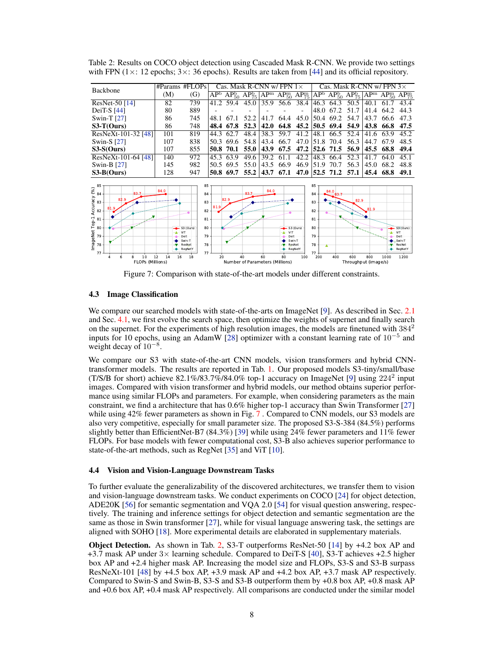<span id="page-7-0"></span>

| Backbone                                                                                                                                      |                        | #Params #FLOPs                                                                                                      |            |                   | Cas. Mask R-CNN w/ FPN                 |                 |                                           | $1\times$                          |                                                               |                                               | Cas. Mask R-CNN w/ FPN $3\times$ |                 |                   |                                                                 |
|-----------------------------------------------------------------------------------------------------------------------------------------------|------------------------|---------------------------------------------------------------------------------------------------------------------|------------|-------------------|----------------------------------------|-----------------|-------------------------------------------|------------------------------------|---------------------------------------------------------------|-----------------------------------------------|----------------------------------|-----------------|-------------------|-----------------------------------------------------------------|
|                                                                                                                                               | (M)                    | (G)                                                                                                                 | $AP^b$     | $AP_{50}^{b}$     | $\overline{\text{AP}^{\text{b}}_{75}}$ | AP <sup>m</sup> | $AP_{50}^{m}$                             | $AP_{75}^m$                        | AP <sup>b</sup>                                               | $AP_{50}^{\mathrm{b}}$ $AP_{75}^{\mathrm{b}}$ |                                  | AP <sup>m</sup> | $AP_{50}^{\rm m}$ | $AP_{75}^m$                                                     |
| ResNet-50 $[14]$                                                                                                                              | 82                     | 739                                                                                                                 | 41.2       | $\overline{59.4}$ | 45.0                                   | 35.9            | 56.6                                      | 38.4                               | 46.3                                                          | 64.3                                          | 50.5                             | 40.1            | 61                | 43.4                                                            |
| DeiT-S $[44]$                                                                                                                                 | 80                     | 889                                                                                                                 |            |                   |                                        |                 |                                           |                                    | 48.0                                                          | 67.2                                          | 51.7                             | 41.4            | 64.2              | 44.3                                                            |
| Swin-T $[27]$                                                                                                                                 | 86                     | 745                                                                                                                 | 48.1       | 67.1              | 52.2                                   | 41.7            | 64.4                                      | 45.0                               | 50.4                                                          | 69.2                                          | 54.7                             | 43.7            | 66.6              | 47.3                                                            |
| $S3-T(Ours)$                                                                                                                                  | 86                     | 748                                                                                                                 | 48.4       | 67.8              | 52.3                                   | 42.0            | 64.8                                      | 45.2                               | 50.5                                                          | 69.4                                          | 54.9                             | 43.8            | 66.8              | 47.5                                                            |
| ResNeXt-101-32 [48]                                                                                                                           | 101                    | 819                                                                                                                 | 44.3       | 62.7              | 48.4                                   | 38.3            | 59.7                                      | 41.2                               | 48.1                                                          | 66.5                                          | 52.4                             | 41.6            | 63.9              | 45.2                                                            |
| Swin-S $[27]$                                                                                                                                 | 107                    | 838                                                                                                                 | 50.3       | 69.6              | 54.8                                   | 43.4            | 66.7                                      | 47.0                               | 51.8                                                          | 70.4                                          | 56.3                             | 44.7            | 67.9              | 48.5                                                            |
| $S3-S(Ours)$                                                                                                                                  | 107                    | 855                                                                                                                 | 50.8       | 70.1              | 55.0                                   | 43.9            | 67.5                                      | 47.2                               | 52.6                                                          | 71.5                                          | 56.9                             | 45.5            | 68.8              | 49.4                                                            |
| ResNeXt-101-64 [48]                                                                                                                           | 140                    | 972                                                                                                                 | 45.3       | 63.9              | 49.6                                   | 39.2            | 61.1                                      | 42.2                               | 48.3                                                          | 66.4                                          | 52.3                             | 41.7            | 64.0              | 45.1                                                            |
| Swin-B [27]                                                                                                                                   | 145                    | 982                                                                                                                 | 50.5       | 69.5              | 55.0                                   | 43.5            | 66.9                                      | 46.9                               | 51.9                                                          | 70.7                                          | 56.3                             | 45.0            | 68.2              | 48.8                                                            |
| $S3-B(Ours)$                                                                                                                                  | 128                    | 947                                                                                                                 | 50.8       | 69.7              | 55.2                                   | 43.7            | 67.1                                      | 47.0                               |                                                               | 52.5 71.2                                     | 57.1                             | 45.4            | 68.8              | 49.1                                                            |
| 85<br>$\frac{2}{3}$ 84<br>83.7<br>Accuracy<br>82.9<br>83<br>81<br>ം<br>82<br>mageNet Top-1<br>81<br>80<br>79<br>78<br>77<br>6<br>8<br>10<br>Δ | 84.0<br>12<br>16<br>14 | 85<br>84<br>83<br>82<br>81<br>80<br>S3 (Ours)<br>ViT<br>79<br>Deit<br>Swin-T<br>78<br>ResNet<br>RegNetY<br>77<br>18 | 81.9<br>20 | 82.9              | 83.7<br>40                             | 84.0<br>60      | $-$ S3 (Ours)<br>$-4 - VIT$<br>Deit<br>80 | Swin-T<br>ResNet<br>RegNetY<br>100 | 85<br>84<br>83<br>82<br>81<br>80<br>79<br>78<br>$77 -$<br>200 | 84.0<br>400                                   | 82.9<br>600                      | 81.9<br>800     | ÷<br>1000         | S3 (Ours)<br>ViT<br>Deit<br>Swin-T<br>ResNet<br>RegNetY<br>1200 |
| FLOPs (Millions)                                                                                                                              |                        |                                                                                                                     |            |                   | Number of Parameters (Millions)        |                 |                                           |                                    |                                                               |                                               | Throughput (image/s)             |                 |                   |                                                                 |

<span id="page-7-2"></span><span id="page-7-1"></span>Table 2: Results on COCO object detection using Cascaded Mask R-CNN. We provide two settings with FPN ( $1 \times$ : 12 epochs;  $3 \times$ : 36 epochs). Results are taken from [\[44\]](#page-11-8) and its official repository.

Figure 7: Comparison with state-of-the-art models under different constraints.

#### 4.3 Image Classification

We compare our searched models with state-of-the-arts on ImageNet [\[9\]](#page-9-8). As described in Sec. [2.1](#page-1-2) and Sec. [4.1,](#page-5-0) we first evolve the search space, then optimize the weights of supernet and finally search on the supernet. For the experiments of high resolution images, the models are finetuned with  $384<sup>2</sup>$ inputs for 10 epochs, using an AdamW [\[28\]](#page-10-6) optimizer with a constant learning rate of  $10^{-5}$  and weight decay of 10<sup>-8</sup>.

We compare our S3 with state-of-the-art CNN models, vision transformers and hybrid CNNtransformer models. The results are reported in Tab. [1.](#page-6-1) Our proposed models S3-tiny/small/base (T/S/B for short) achieve 82.1%/83.7%/84.0% top-1 accuracy on ImageNet [\[9\]](#page-9-8) using  $224^2$  input images. Compared with vision transformer and hybrid models, our method obtains superior performance using similar FLOPs and parameters. For example, when considering parameters as the main constraint, we find a architecture that has 0.6% higher top-1 accuracy than Swin Transformer [\[27\]](#page-10-1) while using 42% fewer parameters as shown in Fig. [7](#page-7-0). Compared to CNN models, our S3 models are also very competitive, especially for small parameter size. The proposed S3-S-384 (84.5%) performs slightly better than EfficientNet-B7 (84.3%) [\[39\]](#page-10-2) while using 24% fewer parameters and 11% fewer FLOPs. For base models with fewer computational cost, S3-B also achieves superior performance to state-of-the-art methods, such as RegNet [\[35\]](#page-10-3) and ViT [\[10\]](#page-9-0).

#### 4.4 Vision and Vision-Language Downstream Tasks

To further evaluate the generalizability of the discovered architectures, we transfer them to vision and vision-language downstream tasks. We conduct experiments on COCO [\[24\]](#page-10-8) for object detection, ADE20K [\[56\]](#page-11-10) for semantic segmentation and VQA 2.0 [\[54\]](#page-11-11) for visual question answering, respectively. The training and inference settings for object detection and semantic segmentation are the same as those in Swin transformer [\[27\]](#page-10-1), while for visual language answering task, the settings are aligned with SOHO [\[18\]](#page-10-9). More experimental details are elaborated in supplementary materials.

Object Detection. As shown in Tab. [2,](#page-7-1) S3-T outperforms ResNet-50 [\[14\]](#page-9-7) by +4.2 box AP and +3.7 mask AP under  $3\times$  learning schedule. Compared to DeiT-S [\[40\]](#page-11-1), S3-T achieves +2.5 higher box AP and +2.4 higher mask AP. Increasing the model size and FLOPs, S3-S and S3-B surpass ResNeXt-101 [\[48\]](#page-11-9) by +4.5 box AP, +3.9 mask AP and +4.2 box AP, +3.7 mask AP respectively. Compared to Swin-S and Swin-B, S3-S and S3-B outperform them by +0.8 box AP, +0.8 mask AP and +0.6 box AP, +0.4 mask AP respectively. All comparisons are conducted under the similar model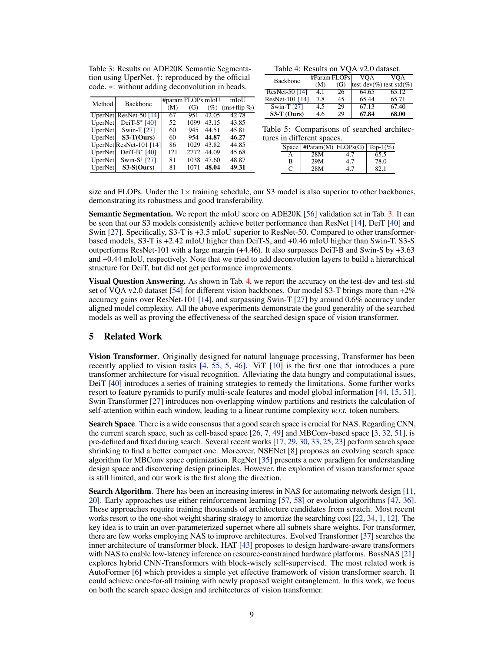<span id="page-8-1"></span><span id="page-8-0"></span>Table 3: Results on ADE20K Semantic Segmentation using UperNet. †: reproduced by the official code. ∗: without adding deconvolution in heads.

|  | Table 4: Results on VQA v2.0 dataset. |  |  |  |
|--|---------------------------------------|--|--|--|
|--|---------------------------------------|--|--|--|

| <b>Backbone</b>  | #Param FLOPs |     | VOA   | VOA                             |
|------------------|--------------|-----|-------|---------------------------------|
|                  | (M)          | (G) |       | $ test-dev(\%)$ test-std $(\%)$ |
| ResNet-50 $[14]$ | 4.1          | 26  | 64.65 | 65.12                           |
| ResNet-101 [14]  | 7.8          | 45  | 65.44 | 65.71                           |
| Swin-T $[27]$    | 4.5          | 29  | 67.13 | 67.40                           |
| $S3-T$ (Ours)    | 4.6          | 29  | 67.84 | 68.00                           |

| Method         | Backbone                                    |     | #param FLOPs mIoU |       | mIoU           |
|----------------|---------------------------------------------|-----|-------------------|-------|----------------|
|                |                                             | (M) | (G)               | (%)   | $(ms+flip \%)$ |
|                | UperNet ResNet-50 [14]                      | 67  | 951               | 42.05 | 42.78          |
| <b>UperNet</b> | DeiT-S $*$ [40]                             | 52  | 1099              | 43.15 | 43.85          |
| UperNet        | Swin-T [27]                                 | 60  | 945               | 44.51 | 45.81          |
| UperNet        | $S3-T(Ours)$                                | 60  | 954               | 44.87 | 46.27          |
|                | UperNet ResNet-101 [14]                     | 86  | 1029              | 43.82 | 44.85          |
| UperNet        | DeiT-B $*$ [40]                             | 121 | 2772              | 44.09 | 45.68          |
| UperNet        | Swin-S <sup><math>\dagger</math></sup> [27] | 81  | 1038              | 47.60 | 48.87          |
| UperNet        | $S3-S(Ours)$                                | 81  | 1071              | 48.04 | 49.31          |

Table 5: Comparisons of searched architectures in different spaces.

|   | Space   #Param(M) FLOPs(G)   Top-1(%) |     |       |
|---|---------------------------------------|-----|-------|
|   | 28M                                   | 41  | 65.5  |
| в | 29M                                   | 4.7 | 78.0  |
|   | 28M                                   |     | 82. 1 |

size and FLOPs. Under the  $1\times$  training schedule, our S3 model is also superior to other backbones, demonstrating its robustness and good transferability.

Semantic Segmentation. We report the mIoU score on ADE20K [\[56\]](#page-11-10) validation set in Tab. [3.](#page-8-0) It can be seen that our S3 models consistently achieve better performance than ResNet [\[14\]](#page-9-7), DeiT [\[40\]](#page-11-1) and Swin [\[27\]](#page-10-1). Specifically, S3-T is +3.5 mIoU superior to ResNet-50. Compared to other transformerbased models, S3-T is +2.42 mIoU higher than DeiT-S, and +0.46 mIoU higher than Swin-T. S3-S outperforms ResNet-101 with a large margin (+4.46). It also surpasses DeiT-B and Swin-S by +3.63 and +0.44 mIoU, respectively. Note that we tried to add deconvolution layers to build a hierarchical structure for DeiT, but did not get performance improvements.

Visual Question Answering. As shown in Tab. [4,](#page-8-0) we report the accuracy on the test-dev and test-std set of VQA v2.0 dataset [\[54\]](#page-11-11) for different vision backbones. Our model S3-T brings more than  $+2\%$ accuracy gains over ResNet-101 [\[14\]](#page-9-7), and surpassing Swin-T [\[27\]](#page-10-1) by around 0.6% accuracy under aligned model complexity. All the above experiments demonstrate the good generality of the searched models as well as proving the effectiveness of the searched design space of vision transformer.

## 5 Related Work

Vision Transformer. Originally designed for natural language processing, Transformer has been recently applied to vision tasks [\[4,](#page-9-9) [55,](#page-11-12) [5,](#page-9-10) [46\]](#page-11-13). ViT [\[10\]](#page-9-0) is the first one that introduces a pure transformer architecture for visual recognition. Alleviating the data hungry and computational issues, DeiT [\[40\]](#page-11-1) introduces a series of training strategies to remedy the limitations. Some further works resort to feature pyramids to purify multi-scale features and model global information [\[44,](#page-11-8) [15,](#page-9-2) [31\]](#page-10-10). Swin Transformer [\[27\]](#page-10-1) introduces non-overlapping window partitions and restricts the calculation of self-attention within each window, leading to a linear runtime complexity *w.r.t.* token numbers.

Search Space. There is a wide consensus that a good search space is crucial for NAS. Regarding CNN, the current search space, such as cell-based space  $[26, 7, 49]$  $[26, 7, 49]$  $[26, 7, 49]$  $[26, 7, 49]$  $[26, 7, 49]$  and MBConv-based space  $[3, 32, 51]$  $[3, 32, 51]$  $[3, 32, 51]$  $[3, 32, 51]$  $[3, 32, 51]$ , is pre-defined and fixed during search. Several recent works [\[17,](#page-10-13) [29,](#page-10-14) [30,](#page-10-15) [33,](#page-10-16) [25,](#page-10-17) [23\]](#page-10-18) perform search space shrinking to find a better compact one. Moreover, NSENet [\[8\]](#page-9-13) proposes an evolving search space algorithm for MBConv space optimization. RegNet [\[35\]](#page-10-3) presents a new paradigm for understanding design space and discovering design principles. However, the exploration of vision transformer space is still limited, and our work is the first along the direction.

Search Algorithm. There has been an increasing interest in NAS for automating network design [\[11,](#page-9-14) [20\]](#page-10-0). Early approaches use either reinforcement learning [\[57,](#page-11-16) [58\]](#page-11-3) or evolution algorithms [\[47,](#page-11-17) [36\]](#page-10-19). These approaches require training thousands of architecture candidates from scratch. Most recent works resort to the one-shot weight sharing strategy to amortize the searching cost [\[22,](#page-10-20) [34,](#page-10-4) [1,](#page-9-15) [12\]](#page-9-5). The key idea is to train an over-parameterized supernet where all subnets share weights. For transformer, there are few works employing NAS to improve architectures. Evolved Transformer [\[37\]](#page-10-21) searches the inner architecture of transformer block. HAT [\[43\]](#page-11-18) proposes to design hardware-aware transformers with NAS to enable low-latency inference on resource-constrained hardware platforms. BossNAS [\[21\]](#page-10-22) explores hybrid CNN-Transformers with block-wisely self-supervised. The most related work is AutoFormer [\[6\]](#page-9-6) which provides a simple yet effective framework of vision transformer search. It could achieve once-for-all training with newly proposed weight entanglement. In this work, we focus on both the search space design and architectures of vision transformer.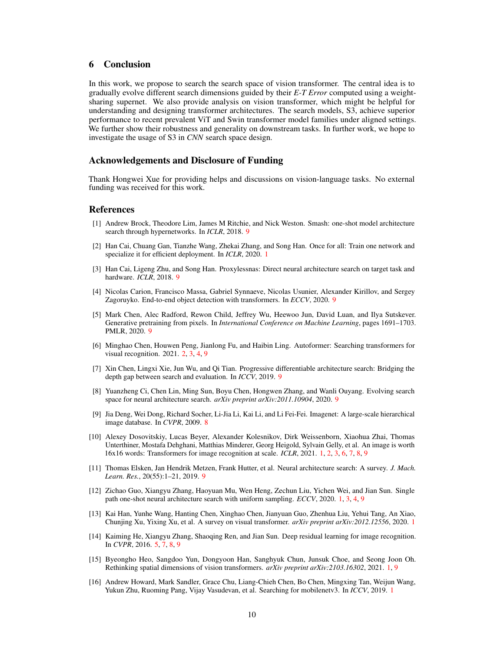# 6 Conclusion

In this work, we propose to search the search space of vision transformer. The central idea is to gradually evolve different search dimensions guided by their *E-T Error* computed using a weightsharing supernet. We also provide analysis on vision transformer, which might be helpful for understanding and designing transformer architectures. The search models, S3, achieve superior performance to recent prevalent ViT and Swin transformer model families under aligned settings. We further show their robustness and generality on downstream tasks. In further work, we hope to investigate the usage of S3 in *CNN* search space design.

#### Acknowledgements and Disclosure of Funding

Thank Hongwei Xue for providing helps and discussions on vision-language tasks. No external funding was received for this work.

## **References**

- <span id="page-9-15"></span>[1] Andrew Brock, Theodore Lim, James M Ritchie, and Nick Weston. Smash: one-shot model architecture search through hypernetworks. In *ICLR*, 2018. [9](#page-8-1)
- <span id="page-9-3"></span>[2] Han Cai, Chuang Gan, Tianzhe Wang, Zhekai Zhang, and Song Han. Once for all: Train one network and specialize it for efficient deployment. In *ICLR*, 2020. [1](#page-0-0)
- <span id="page-9-12"></span>[3] Han Cai, Ligeng Zhu, and Song Han. Proxylessnas: Direct neural architecture search on target task and hardware. *ICLR*, 2018. [9](#page-8-1)
- <span id="page-9-9"></span>[4] Nicolas Carion, Francisco Massa, Gabriel Synnaeve, Nicolas Usunier, Alexander Kirillov, and Sergey Zagoruyko. End-to-end object detection with transformers. In *ECCV*, 2020. [9](#page-8-1)
- <span id="page-9-10"></span>[5] Mark Chen, Alec Radford, Rewon Child, Jeffrey Wu, Heewoo Jun, David Luan, and Ilya Sutskever. Generative pretraining from pixels. In *International Conference on Machine Learning*, pages 1691–1703. PMLR, 2020. [9](#page-8-1)
- <span id="page-9-6"></span>[6] Minghao Chen, Houwen Peng, Jianlong Fu, and Haibin Ling. Autoformer: Searching transformers for visual recognition. 2021. [2,](#page-1-3) [3,](#page-2-3) [4,](#page-3-2) [9](#page-8-1)
- <span id="page-9-11"></span>[7] Xin Chen, Lingxi Xie, Jun Wu, and Qi Tian. Progressive differentiable architecture search: Bridging the depth gap between search and evaluation. In *ICCV*, 2019. [9](#page-8-1)
- <span id="page-9-13"></span>[8] Yuanzheng Ci, Chen Lin, Ming Sun, Boyu Chen, Hongwen Zhang, and Wanli Ouyang. Evolving search space for neural architecture search. *arXiv preprint arXiv:2011.10904*, 2020. [9](#page-8-1)
- <span id="page-9-8"></span>[9] Jia Deng, Wei Dong, Richard Socher, Li-Jia Li, Kai Li, and Li Fei-Fei. Imagenet: A large-scale hierarchical image database. In *CVPR*, 2009. [8](#page-7-2)
- <span id="page-9-0"></span>[10] Alexey Dosovitskiy, Lucas Beyer, Alexander Kolesnikov, Dirk Weissenborn, Xiaohua Zhai, Thomas Unterthiner, Mostafa Dehghani, Matthias Minderer, Georg Heigold, Sylvain Gelly, et al. An image is worth 16x16 words: Transformers for image recognition at scale. *ICLR*, 2021. [1,](#page-0-0) [2,](#page-1-3) [3,](#page-2-3) [6,](#page-5-2) [7,](#page-6-2) [8,](#page-7-2) [9](#page-8-1)
- <span id="page-9-14"></span>[11] Thomas Elsken, Jan Hendrik Metzen, Frank Hutter, et al. Neural architecture search: A survey. *J. Mach. Learn. Res.*, 20(55):1–21, 2019. [9](#page-8-1)
- <span id="page-9-5"></span>[12] Zichao Guo, Xiangyu Zhang, Haoyuan Mu, Wen Heng, Zechun Liu, Yichen Wei, and Jian Sun. Single path one-shot neural architecture search with uniform sampling. *ECCV*, 2020. [1,](#page-0-0) [3,](#page-2-3) [4,](#page-3-2) [9](#page-8-1)
- <span id="page-9-1"></span>[13] Kai Han, Yunhe Wang, Hanting Chen, Xinghao Chen, Jianyuan Guo, Zhenhua Liu, Yehui Tang, An Xiao, Chunjing Xu, Yixing Xu, et al. A survey on visual transformer. *arXiv preprint arXiv:2012.12556*, 2020. [1](#page-0-0)
- <span id="page-9-7"></span>[14] Kaiming He, Xiangyu Zhang, Shaoqing Ren, and Jian Sun. Deep residual learning for image recognition. In *CVPR*, 2016. [5,](#page-4-2) [7,](#page-6-2) [8,](#page-7-2) [9](#page-8-1)
- <span id="page-9-2"></span>[15] Byeongho Heo, Sangdoo Yun, Dongyoon Han, Sanghyuk Chun, Junsuk Choe, and Seong Joon Oh. Rethinking spatial dimensions of vision transformers. *arXiv preprint arXiv:2103.16302*, 2021. [1,](#page-0-0) [9](#page-8-1)
- <span id="page-9-4"></span>[16] Andrew Howard, Mark Sandler, Grace Chu, Liang-Chieh Chen, Bo Chen, Mingxing Tan, Weijun Wang, Yukun Zhu, Ruoming Pang, Vijay Vasudevan, et al. Searching for mobilenetv3. In *ICCV*, 2019. [1](#page-0-0)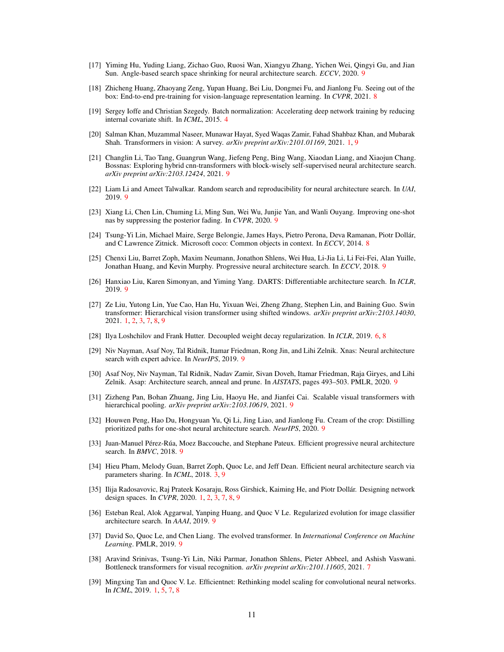- <span id="page-10-13"></span>[17] Yiming Hu, Yuding Liang, Zichao Guo, Ruosi Wan, Xiangyu Zhang, Yichen Wei, Qingyi Gu, and Jian Sun. Angle-based search space shrinking for neural architecture search. *ECCV*, 2020. [9](#page-8-1)
- <span id="page-10-9"></span>[18] Zhicheng Huang, Zhaoyang Zeng, Yupan Huang, Bei Liu, Dongmei Fu, and Jianlong Fu. Seeing out of the box: End-to-end pre-training for vision-language representation learning. In *CVPR*, 2021. [8](#page-7-2)
- <span id="page-10-5"></span>[19] Sergey Ioffe and Christian Szegedy. Batch normalization: Accelerating deep network training by reducing internal covariate shift. In *ICML*, 2015. [4](#page-3-2)
- <span id="page-10-0"></span>[20] Salman Khan, Muzammal Naseer, Munawar Hayat, Syed Waqas Zamir, Fahad Shahbaz Khan, and Mubarak Shah. Transformers in vision: A survey. *arXiv preprint arXiv:2101.01169*, 2021. [1,](#page-0-0) [9](#page-8-1)
- <span id="page-10-22"></span>[21] Changlin Li, Tao Tang, Guangrun Wang, Jiefeng Peng, Bing Wang, Xiaodan Liang, and Xiaojun Chang. Bossnas: Exploring hybrid cnn-transformers with block-wisely self-supervised neural architecture search. *arXiv preprint arXiv:2103.12424*, 2021. [9](#page-8-1)
- <span id="page-10-20"></span>[22] Liam Li and Ameet Talwalkar. Random search and reproducibility for neural architecture search. In *UAI*, 2019. [9](#page-8-1)
- <span id="page-10-18"></span>[23] Xiang Li, Chen Lin, Chuming Li, Ming Sun, Wei Wu, Junjie Yan, and Wanli Ouyang. Improving one-shot nas by suppressing the posterior fading. In *CVPR*, 2020. [9](#page-8-1)
- <span id="page-10-8"></span>[24] Tsung-Yi Lin, Michael Maire, Serge Belongie, James Hays, Pietro Perona, Deva Ramanan, Piotr Dollár, and C Lawrence Zitnick. Microsoft coco: Common objects in context. In *ECCV*, 2014. [8](#page-7-2)
- <span id="page-10-17"></span>[25] Chenxi Liu, Barret Zoph, Maxim Neumann, Jonathon Shlens, Wei Hua, Li-Jia Li, Li Fei-Fei, Alan Yuille, Jonathan Huang, and Kevin Murphy. Progressive neural architecture search. In *ECCV*, 2018. [9](#page-8-1)
- <span id="page-10-11"></span>[26] Hanxiao Liu, Karen Simonyan, and Yiming Yang. DARTS: Differentiable architecture search. In *ICLR*, 2019. [9](#page-8-1)
- <span id="page-10-1"></span>[27] Ze Liu, Yutong Lin, Yue Cao, Han Hu, Yixuan Wei, Zheng Zhang, Stephen Lin, and Baining Guo. Swin transformer: Hierarchical vision transformer using shifted windows. *arXiv preprint arXiv:2103.14030*, 2021. [1,](#page-0-0) [2,](#page-1-3) [3,](#page-2-3) [7,](#page-6-2) [8,](#page-7-2) [9](#page-8-1)
- <span id="page-10-6"></span>[28] Ilya Loshchilov and Frank Hutter. Decoupled weight decay regularization. In *ICLR*, 2019. [6,](#page-5-2) [8](#page-7-2)
- <span id="page-10-14"></span>[29] Niv Nayman, Asaf Noy, Tal Ridnik, Itamar Friedman, Rong Jin, and Lihi Zelnik. Xnas: Neural architecture search with expert advice. In *NeurIPS*, 2019. [9](#page-8-1)
- <span id="page-10-15"></span>[30] Asaf Noy, Niv Nayman, Tal Ridnik, Nadav Zamir, Sivan Doveh, Itamar Friedman, Raja Giryes, and Lihi Zelnik. Asap: Architecture search, anneal and prune. In *AISTATS*, pages 493–503. PMLR, 2020. [9](#page-8-1)
- <span id="page-10-10"></span>[31] Zizheng Pan, Bohan Zhuang, Jing Liu, Haoyu He, and Jianfei Cai. Scalable visual transformers with hierarchical pooling. *arXiv preprint arXiv:2103.10619*, 2021. [9](#page-8-1)
- <span id="page-10-12"></span>[32] Houwen Peng, Hao Du, Hongyuan Yu, Qi Li, Jing Liao, and Jianlong Fu. Cream of the crop: Distilling prioritized paths for one-shot neural architecture search. *NeurIPS*, 2020. [9](#page-8-1)
- <span id="page-10-16"></span>[33] Juan-Manuel Pérez-Rúa, Moez Baccouche, and Stephane Pateux. Efficient progressive neural architecture search. In *BMVC*, 2018. [9](#page-8-1)
- <span id="page-10-4"></span>[34] Hieu Pham, Melody Guan, Barret Zoph, Quoc Le, and Jeff Dean. Efficient neural architecture search via parameters sharing. In *ICML*, 2018. [3,](#page-2-3) [9](#page-8-1)
- <span id="page-10-3"></span>[35] Ilija Radosavovic, Raj Prateek Kosaraju, Ross Girshick, Kaiming He, and Piotr Dollár. Designing network design spaces. In *CVPR*, 2020. [1,](#page-0-0) [2,](#page-1-3) [3,](#page-2-3) [7,](#page-6-2) [8,](#page-7-2) [9](#page-8-1)
- <span id="page-10-19"></span>[36] Esteban Real, Alok Aggarwal, Yanping Huang, and Quoc V Le. Regularized evolution for image classifier architecture search. In *AAAI*, 2019. [9](#page-8-1)
- <span id="page-10-21"></span>[37] David So, Quoc Le, and Chen Liang. The evolved transformer. In *International Conference on Machine Learning*. PMLR, 2019. [9](#page-8-1)
- <span id="page-10-7"></span>[38] Aravind Srinivas, Tsung-Yi Lin, Niki Parmar, Jonathon Shlens, Pieter Abbeel, and Ashish Vaswani. Bottleneck transformers for visual recognition. *arXiv preprint arXiv:2101.11605*, 2021. [7](#page-6-2)
- <span id="page-10-2"></span>[39] Mingxing Tan and Quoc V. Le. Efficientnet: Rethinking model scaling for convolutional neural networks. In *ICML*, 2019. [1,](#page-0-0) [5,](#page-4-2) [7,](#page-6-2) [8](#page-7-2)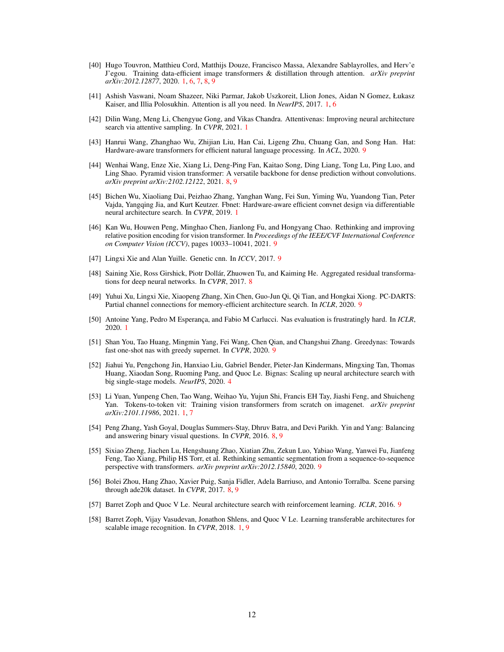- <span id="page-11-1"></span>[40] Hugo Touvron, Matthieu Cord, Matthijs Douze, Francisco Massa, Alexandre Sablayrolles, and Herv'e J'egou. Training data-efficient image transformers & distillation through attention. *arXiv preprint arXiv:2012.12877*, 2020. [1,](#page-0-0) [6,](#page-5-2) [7,](#page-6-2) [8,](#page-7-2) [9](#page-8-1)
- <span id="page-11-0"></span>[41] Ashish Vaswani, Noam Shazeer, Niki Parmar, Jakob Uszkoreit, Llion Jones, Aidan N Gomez, Łukasz Kaiser, and Illia Polosukhin. Attention is all you need. In *NeurIPS*, 2017. [1,](#page-0-0) [6](#page-5-2)
- <span id="page-11-6"></span>[42] Dilin Wang, Meng Li, Chengyue Gong, and Vikas Chandra. Attentivenas: Improving neural architecture search via attentive sampling. In *CVPR*, 2021. [1](#page-0-0)
- <span id="page-11-18"></span>[43] Hanrui Wang, Zhanghao Wu, Zhijian Liu, Han Cai, Ligeng Zhu, Chuang Gan, and Song Han. Hat: Hardware-aware transformers for efficient natural language processing. In *ACL*, 2020. [9](#page-8-1)
- <span id="page-11-8"></span>[44] Wenhai Wang, Enze Xie, Xiang Li, Deng-Ping Fan, Kaitao Song, Ding Liang, Tong Lu, Ping Luo, and Ling Shao. Pyramid vision transformer: A versatile backbone for dense prediction without convolutions. *arXiv preprint arXiv:2102.12122*, 2021. [8,](#page-7-2) [9](#page-8-1)
- <span id="page-11-5"></span>[45] Bichen Wu, Xiaoliang Dai, Peizhao Zhang, Yanghan Wang, Fei Sun, Yiming Wu, Yuandong Tian, Peter Vajda, Yangqing Jia, and Kurt Keutzer. Fbnet: Hardware-aware efficient convnet design via differentiable neural architecture search. In *CVPR*, 2019. [1](#page-0-0)
- <span id="page-11-13"></span>[46] Kan Wu, Houwen Peng, Minghao Chen, Jianlong Fu, and Hongyang Chao. Rethinking and improving relative position encoding for vision transformer. In *Proceedings of the IEEE/CVF International Conference on Computer Vision (ICCV)*, pages 10033–10041, 2021. [9](#page-8-1)
- <span id="page-11-17"></span>[47] Lingxi Xie and Alan Yuille. Genetic cnn. In *ICCV*, 2017. [9](#page-8-1)
- <span id="page-11-9"></span>[48] Saining Xie, Ross Girshick, Piotr Dollár, Zhuowen Tu, and Kaiming He. Aggregated residual transformations for deep neural networks. In *CVPR*, 2017. [8](#page-7-2)
- <span id="page-11-14"></span>[49] Yuhui Xu, Lingxi Xie, Xiaopeng Zhang, Xin Chen, Guo-Jun Qi, Qi Tian, and Hongkai Xiong. PC-DARTS: Partial channel connections for memory-efficient architecture search. In *ICLR*, 2020. [9](#page-8-1)
- <span id="page-11-4"></span>[50] Antoine Yang, Pedro M Esperança, and Fabio M Carlucci. Nas evaluation is frustratingly hard. In *ICLR*, 2020. [1](#page-0-0)
- <span id="page-11-15"></span>[51] Shan You, Tao Huang, Mingmin Yang, Fei Wang, Chen Qian, and Changshui Zhang. Greedynas: Towards fast one-shot nas with greedy supernet. In *CVPR*, 2020. [9](#page-8-1)
- <span id="page-11-7"></span>[52] Jiahui Yu, Pengchong Jin, Hanxiao Liu, Gabriel Bender, Pieter-Jan Kindermans, Mingxing Tan, Thomas Huang, Xiaodan Song, Ruoming Pang, and Quoc Le. Bignas: Scaling up neural architecture search with big single-stage models. *NeurIPS*, 2020. [4](#page-3-2)
- <span id="page-11-2"></span>[53] Li Yuan, Yunpeng Chen, Tao Wang, Weihao Yu, Yujun Shi, Francis EH Tay, Jiashi Feng, and Shuicheng Yan. Tokens-to-token vit: Training vision transformers from scratch on imagenet. *arXiv preprint arXiv:2101.11986*, 2021. [1,](#page-0-0) [7](#page-6-2)
- <span id="page-11-11"></span>[54] Peng Zhang, Yash Goyal, Douglas Summers-Stay, Dhruv Batra, and Devi Parikh. Yin and Yang: Balancing and answering binary visual questions. In *CVPR*, 2016. [8,](#page-7-2) [9](#page-8-1)
- <span id="page-11-12"></span>[55] Sixiao Zheng, Jiachen Lu, Hengshuang Zhao, Xiatian Zhu, Zekun Luo, Yabiao Wang, Yanwei Fu, Jianfeng Feng, Tao Xiang, Philip HS Torr, et al. Rethinking semantic segmentation from a sequence-to-sequence perspective with transformers. *arXiv preprint arXiv:2012.15840*, 2020. [9](#page-8-1)
- <span id="page-11-10"></span>[56] Bolei Zhou, Hang Zhao, Xavier Puig, Sanja Fidler, Adela Barriuso, and Antonio Torralba. Scene parsing through ade20k dataset. In *CVPR*, 2017. [8,](#page-7-2) [9](#page-8-1)
- <span id="page-11-16"></span>[57] Barret Zoph and Quoc V Le. Neural architecture search with reinforcement learning. *ICLR*, 2016. [9](#page-8-1)
- <span id="page-11-3"></span>[58] Barret Zoph, Vijay Vasudevan, Jonathon Shlens, and Quoc V Le. Learning transferable architectures for scalable image recognition. In *CVPR*, 2018. [1,](#page-0-0) [9](#page-8-1)